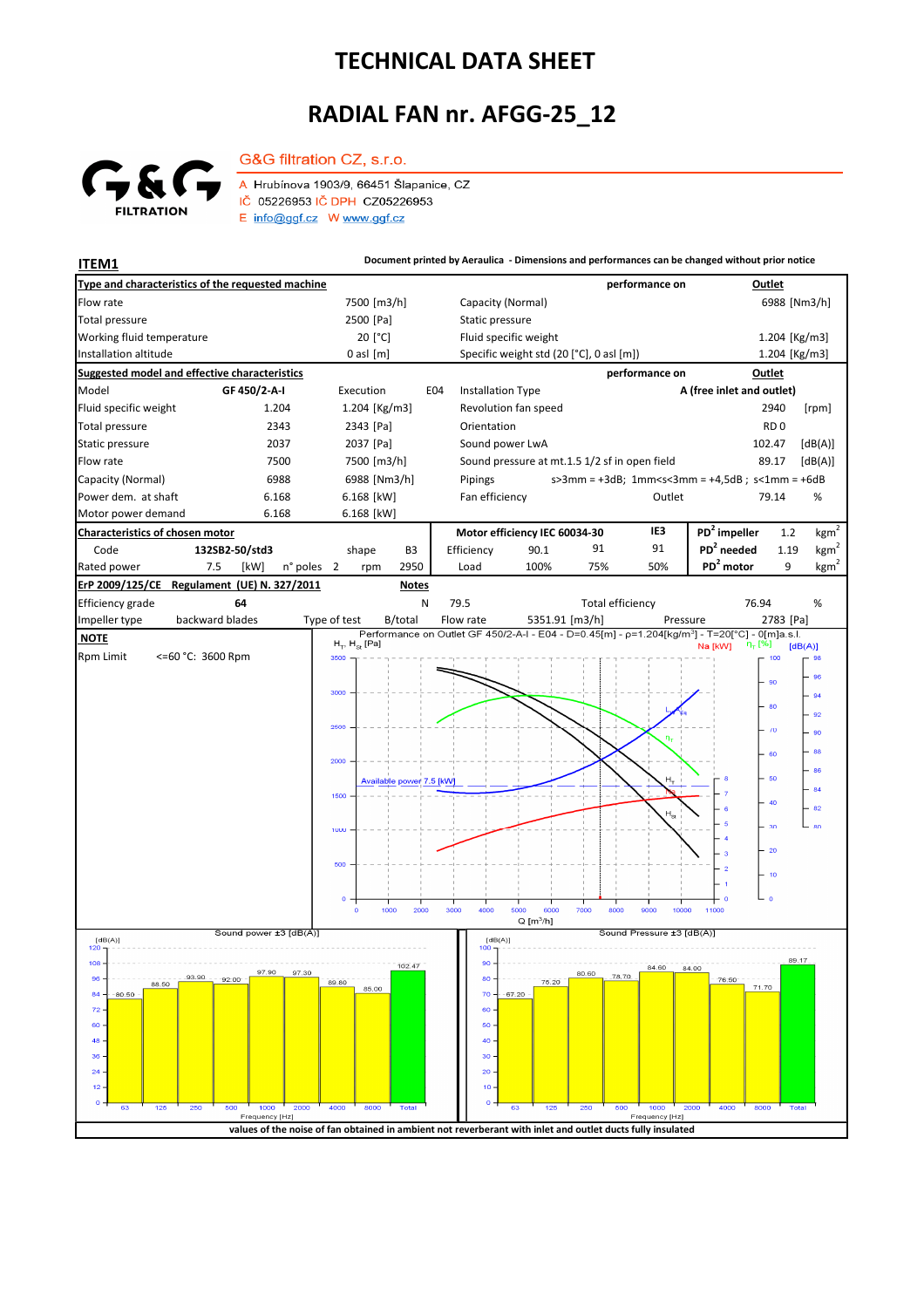## **TECHNICAL DATA SHEET**

## **RADIAL FAN nr. AFGG-25\_12**



G&G filtration CZ, s.r.o. A Hrubínova 1903/9, 66451 Šlapanice, CZ IČ 05226953 IČ DPH CZ05226953 E info@ggf.cz W www.ggf.cz

**ITEM1 Document printed by Aeraulica - Dimensions and performances can be changed without prior notice**

| Type and characteristics of the requested machine              |                         |                                                      |                                                                                                            |                   |                                               |                         | performance on |                                                                                                            | <b>Outlet</b>   |                  |  |  |
|----------------------------------------------------------------|-------------------------|------------------------------------------------------|------------------------------------------------------------------------------------------------------------|-------------------|-----------------------------------------------|-------------------------|----------------|------------------------------------------------------------------------------------------------------------|-----------------|------------------|--|--|
| Flow rate                                                      |                         | 7500 [m3/h]                                          |                                                                                                            | Capacity (Normal) |                                               |                         |                |                                                                                                            | 6988 [Nm3/h]    |                  |  |  |
| <b>Total pressure</b>                                          |                         | 2500 [Pa]                                            |                                                                                                            | Static pressure   |                                               |                         |                |                                                                                                            |                 |                  |  |  |
| Working fluid temperature                                      |                         | 20 [°C]                                              |                                                                                                            |                   | Fluid specific weight                         |                         |                |                                                                                                            | 1.204 [Kg/m3]   |                  |  |  |
| Installation altitude                                          |                         | $0$ asl $[m]$                                        |                                                                                                            |                   | Specific weight std (20 [°C], 0 asl [m])      |                         |                |                                                                                                            | 1.204 [Kg/m3]   |                  |  |  |
| <b>Suggested model and effective characteristics</b>           |                         |                                                      |                                                                                                            |                   |                                               |                         | performance on |                                                                                                            | Outlet          |                  |  |  |
| Model                                                          | GF 450/2-A-I            | Execution                                            | E04                                                                                                        | Installation Type |                                               |                         |                | A (free inlet and outlet)                                                                                  |                 |                  |  |  |
| Fluid specific weight                                          | 1.204                   | 1.204 [Kg/m3]                                        |                                                                                                            |                   | Revolution fan speed                          |                         |                |                                                                                                            | 2940            | [rpm]            |  |  |
| Total pressure                                                 | 2343                    | 2343 [Pa]                                            |                                                                                                            | Orientation       |                                               |                         |                |                                                                                                            | RD <sub>0</sub> |                  |  |  |
| Static pressure                                                | 2037                    | 2037 [Pa]                                            |                                                                                                            | Sound power LwA   |                                               |                         |                |                                                                                                            | 102.47          | [dB(A)]          |  |  |
| Flow rate                                                      | 7500                    | 7500 [m3/h]                                          |                                                                                                            |                   | Sound pressure at mt.1.5 1/2 sf in open field |                         |                |                                                                                                            | 89.17           | [dB(A)]          |  |  |
| Capacity (Normal)                                              | 6988                    | 6988 [Nm3/h]                                         |                                                                                                            | Pipings           |                                               |                         |                | $s > 3$ mm = +3dB; 1mm <s<3mm +4,5db;="" =="" s<1mm="+6dB&lt;/td"><td></td><td></td></s<3mm>               |                 |                  |  |  |
| Power dem. at shaft                                            | 6.168                   | 6.168 [kW]                                           |                                                                                                            | Fan efficiency    |                                               |                         | Outlet         |                                                                                                            | 79.14           | %                |  |  |
| Motor power demand                                             | 6.168                   | 6.168 [kW]                                           |                                                                                                            |                   |                                               |                         |                |                                                                                                            |                 |                  |  |  |
| <b>Characteristics of chosen motor</b>                         |                         |                                                      |                                                                                                            |                   | Motor efficiency IEC 60034-30                 |                         | IE3            | $PD2$ impeller                                                                                             | 1.2             | $\text{kgm}^2$   |  |  |
| Code                                                           | 132SB2-50/std3          | shape<br>B <sub>3</sub>                              |                                                                                                            | Efficiency        | 90.1                                          | 91                      | 91             | $PD2$ needed                                                                                               | 1.19            | $\mathrm{kgm}^2$ |  |  |
| Rated power                                                    | 7.5<br>[kW]<br>n° poles | 2950<br>$\overline{2}$<br>rpm                        |                                                                                                            | Load              | 100%                                          | 75%                     | 50%            | PD <sup>2</sup> motor                                                                                      | 9               | $\text{kgm}^2$   |  |  |
| ErP 2009/125/CE<br>Regulament (UE) N. 327/2011<br><b>Notes</b> |                         |                                                      |                                                                                                            |                   |                                               |                         |                |                                                                                                            |                 |                  |  |  |
| <b>Efficiency grade</b>                                        | 64                      |                                                      | N                                                                                                          | 79.5              |                                               | <b>Total efficiency</b> |                | 76.94                                                                                                      |                 | %                |  |  |
| Impeller type                                                  | backward blades         | Type of test<br>B/total                              |                                                                                                            | Flow rate         | 5351.91 [m3/h]                                |                         | Pressure       | Performance on Outlet GF 450/2-A-I - E04 - D=0.45[m] - p=1.204[kg/m <sup>3</sup> ] - T=20[°C] - 0[m]a.s.l. | 2783 [Pa]       |                  |  |  |
| <b>NOTE</b>                                                    |                         | $H_T$ , $H_{\text{St}}$ [Pa]                         |                                                                                                            |                   |                                               |                         |                | η <sub>τ</sub> [%]<br>Na [kW]                                                                              | [dB(A)]         |                  |  |  |
| <b>Rpm Limit</b><br><=60 °C: 3600 Rpm                          |                         | 3500                                                 |                                                                                                            |                   |                                               |                         |                |                                                                                                            | 100             | 98               |  |  |
|                                                                |                         |                                                      |                                                                                                            |                   |                                               |                         |                |                                                                                                            | 90              | 96               |  |  |
|                                                                |                         | 3000                                                 |                                                                                                            |                   |                                               |                         |                |                                                                                                            | 80              | 94               |  |  |
|                                                                |                         |                                                      |                                                                                                            |                   |                                               |                         |                |                                                                                                            |                 | 92               |  |  |
|                                                                |                         | 2500                                                 |                                                                                                            |                   |                                               |                         |                |                                                                                                            | $\sqrt{0}$      | 90               |  |  |
|                                                                |                         |                                                      |                                                                                                            |                   |                                               |                         |                |                                                                                                            | 60              | 88               |  |  |
|                                                                |                         | 2000                                                 |                                                                                                            |                   |                                               |                         |                |                                                                                                            |                 | 86               |  |  |
|                                                                |                         | Available power 7.5 [kW]<br>1500                     |                                                                                                            |                   |                                               |                         |                |                                                                                                            | $-50$           | 84               |  |  |
|                                                                |                         |                                                      |                                                                                                            |                   |                                               |                         |                |                                                                                                            | 40              | 82               |  |  |
|                                                                |                         | 1000                                                 |                                                                                                            |                   |                                               |                         |                |                                                                                                            | 30              | 80               |  |  |
|                                                                |                         |                                                      |                                                                                                            |                   |                                               |                         |                |                                                                                                            |                 |                  |  |  |
|                                                                |                         | 500                                                  |                                                                                                            |                   |                                               |                         |                |                                                                                                            | $-20$           |                  |  |  |
|                                                                |                         |                                                      |                                                                                                            |                   |                                               |                         |                | $\overline{2}$                                                                                             | 10              |                  |  |  |
|                                                                |                         | $\circ$                                              |                                                                                                            |                   |                                               |                         |                | ە با                                                                                                       |                 |                  |  |  |
|                                                                |                         | 1000<br>$\circ$                                      | 2000                                                                                                       | 3000<br>4000      | 5000<br>6000                                  | 7000<br>8000            | 9000<br>10000  | 11000                                                                                                      |                 |                  |  |  |
|                                                                |                         | $Q$ [m <sup>3</sup> /h]<br>Sound Pressure ±3 [dB(A)] |                                                                                                            |                   |                                               |                         |                |                                                                                                            |                 |                  |  |  |
| [dB(A)]<br>120                                                 | Sound power ±3 [dB(A)]  |                                                      |                                                                                                            | [dB(A)]<br>100    |                                               |                         |                |                                                                                                            |                 |                  |  |  |
| 108                                                            |                         | 102.47                                               |                                                                                                            | 90                |                                               |                         | 84.60          | 84.00                                                                                                      | 89.17           |                  |  |  |
| 96<br>93.90<br>88.50                                           | 97.90<br>97.30<br>92.00 | 89.80                                                |                                                                                                            | 80                | 75.20                                         | 80.60                   |                | 76:50<br>71.70                                                                                             |                 |                  |  |  |
| $84 -$<br>$-80.50$                                             |                         | 85.00                                                |                                                                                                            | $70 -$            | $-67.20$                                      |                         |                |                                                                                                            |                 |                  |  |  |
| 72.                                                            |                         |                                                      |                                                                                                            | 60                |                                               |                         |                |                                                                                                            |                 |                  |  |  |
| $60 -$<br>48                                                   |                         |                                                      |                                                                                                            | 50<br>40          |                                               |                         |                |                                                                                                            |                 |                  |  |  |
| 36 <sub>1</sub>                                                |                         |                                                      |                                                                                                            | 30 <sub>1</sub>   |                                               |                         |                |                                                                                                            |                 |                  |  |  |
| $24 -$                                                         |                         |                                                      |                                                                                                            | $20 -$            |                                               |                         |                |                                                                                                            |                 |                  |  |  |
| 12                                                             |                         |                                                      |                                                                                                            | 10                |                                               |                         |                |                                                                                                            |                 |                  |  |  |
| о.<br>125<br>250<br>63                                         | 500<br>1000<br>2000     | 4000<br>8000<br>Total                                |                                                                                                            | o                 | 125<br>63                                     | 250<br>500              | 1000           | 2000<br>4000<br>8000                                                                                       |                 |                  |  |  |
|                                                                | Frequency [Hz]          |                                                      |                                                                                                            |                   |                                               |                         | Frequency [Hz] |                                                                                                            |                 |                  |  |  |
|                                                                |                         |                                                      | values of the noise of fan obtained in ambient not reverberant with inlet and outlet ducts fully insulated |                   |                                               |                         |                |                                                                                                            |                 |                  |  |  |